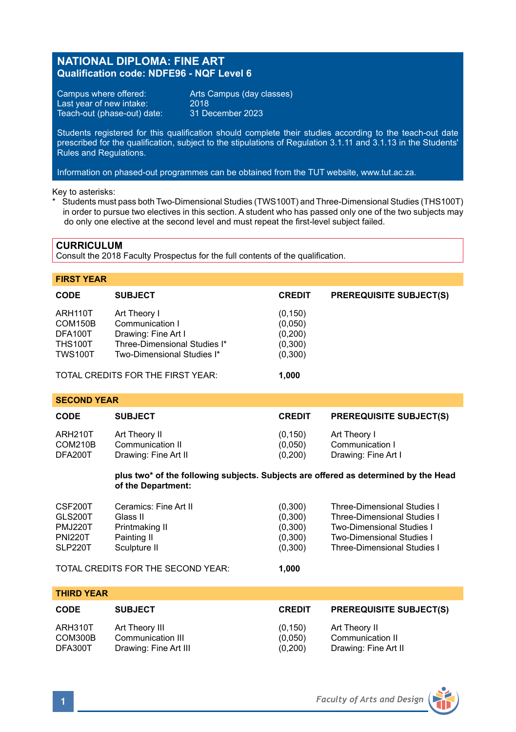### **NATIONAL DIPLOMA: FINE ART Qualification code: NDFE96 - NQF Level 6**

Campus where offered: Arts Campus (day classes)<br>Last year of new intake: 2018 Last year of new intake: 2018<br>Teach-out (phase-out) date: 31 December 2023 Teach-out (phase-out) date:

Students registered for this qualification should complete their studies according to the teach-out date prescribed for the qualification, subject to the stipulations of Regulation 3.1.11 and 3.1.13 in the Students' Rules and Regulations.

Information on phased-out programmes can be obtained from the TUT website, www.tut.ac.za.

Ξ Key to asterisks:

\* Students must pass both Two-Dimensional Studies (TWS100T) and Three-Dimensional Studies (THS100T) in order to pursue two electives in this section. A student who has passed only one of the two subjects may do only one elective at the second level and must repeat the first-level subject failed.

#### **CURRICULUM**

Consult the 2018 Faculty Prospectus for the full contents of the qualification.

#### **FIRST YEAR**

| <b>CODE</b>    | <b>SUBJECT</b>                    | <b>CREDIT</b> | <b>PREREQUISITE SUBJECT(S)</b> |
|----------------|-----------------------------------|---------------|--------------------------------|
| ARH110T        | Art Theory I                      | (0, 150)      |                                |
| COM150B        | Communication I                   | (0,050)       |                                |
| DFA100T        | Drawing: Fine Art I               | (0,200)       |                                |
| <b>THS100T</b> | Three-Dimensional Studies I*      | (0,300)       |                                |
| <b>TWS100T</b> | Two-Dimensional Studies I*        | (0,300)       |                                |
|                | TOTAL CREDITS FOR THE FIRST YEAR: | 1.000         |                                |

**SECOND YEAR**

| <b>CODE</b> | <b>SUBJECT</b>       | <b>CREDIT</b> | <b>PREREQUISITE SUBJECT(S)</b> |
|-------------|----------------------|---------------|--------------------------------|
| ARH210T     | Art Theory II        | (0, 150)      | Art Theory I                   |
| COM210B     | Communication II     | (0,050)       | Communication I                |
| DFA200T     | Drawing: Fine Art II | (0,200)       | Drawing: Fine Art I            |

#### **plus two\* of the following subjects. Subjects are offered as determined by the Head of the Department:**

| CSF200T        | Ceramics: Fine Art II                              | (0,300)          | <b>Three-Dimensional Studies I</b> |
|----------------|----------------------------------------------------|------------------|------------------------------------|
| GLS200T        | Glass II                                           | (0,300)          | <b>Three-Dimensional Studies I</b> |
| PMJ220T        | Printmaking II                                     | (0,300)          | <b>Two-Dimensional Studies I</b>   |
| <b>PNI220T</b> | Painting II                                        | (0,300)          | Two-Dimensional Studies I          |
| SLP220T        | Sculpture II<br>TOTAL CREDITS FOR THE SECOND YEAR: | (0,300)<br>1.000 | <b>Three-Dimensional Studies I</b> |

**THIRD YEAR**

| <b>CODE</b> | <b>SUBJECT</b>        | <b>CREDIT</b> | <b>PREREQUISITE SUBJECT(S)</b> |
|-------------|-----------------------|---------------|--------------------------------|
| ARH310T     | Art Theory III        | (0, 150)      | Art Theory II                  |
| COM300B     | Communication III     | (0.050)       | Communication II               |
| DFA300T     | Drawing: Fine Art III | (0,200)       | Drawing: Fine Art II           |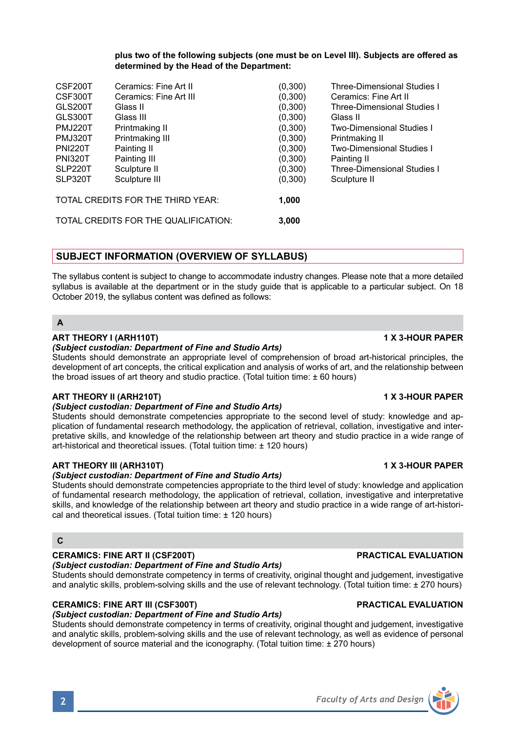Students should demonstrate competencies appropriate to the third level of study: knowledge and application of fundamental research methodology, the application of retrieval, collation, investigative and interpretative skills, and knowledge of the relationship between art theory and studio practice in a wide range of art-histori-

# *(Subject custodian: Department of Fine and Studio Arts)*

Students should demonstrate competencies appropriate to the second level of study: knowledge and application of fundamental research methodology, the application of retrieval, collation, investigative and interpretative skills, and knowledge of the relationship between art theory and studio practice in a wide range of art-historical and theoretical issues. (Total tuition time: ± 120 hours)

# **ART THEORY III (ARH310T) 1 X 3-HOUR PAPER**

# *(Subject custodian: Department of Fine and Studio Arts)*

*(Subject custodian: Department of Fine and Studio Arts)*

the broad issues of art theory and studio practice. (Total tuition time:  $\pm$  60 hours)

cal and theoretical issues. (Total tuition time: ± 120 hours)

### **C**

**A**

### **CERAMICS: FINE ART II (CSF200T) PRACTICAL EVALUATION**

*(Subject custodian: Department of Fine and Studio Arts)* Students should demonstrate competency in terms of creativity, original thought and judgement, investigative and analytic skills, problem-solving skills and the use of relevant technology. (Total tuition time: ± 270 hours)

### **CERAMICS: FINE ART III (CSF300T) PRACTICAL EVALUATION**

### *(Subject custodian: Department of Fine and Studio Arts)*

Students should demonstrate competency in terms of creativity, original thought and judgement, investigative and analytic skills, problem-solving skills and the use of relevant technology, as well as evidence of personal development of source material and the iconography. (Total tuition time: ± 270 hours)

The syllabus content is subject to change to accommodate industry changes. Please note that a more detailed syllabus is available at the department or in the study guide that is applicable to a particular subject. On 18 October 2019, the syllabus content was defined as follows:

# **SUBJECT INFORMATION (OVERVIEW OF SYLLABUS)**

Students should demonstrate an appropriate level of comprehension of broad art-historical principles, the development of art concepts, the critical explication and analysis of works of art, and the relationship between

# CSF200T Ceramics: Fine Art II (0,300) Three-Dimensional Studies I<br>
CSF300T Ceramics: Fine Art III (0.300) Ceramics: Fine Art II CSF300T Ceramics: Fine Art III (0,300)<br>GLS200T Glass II (0.300)

| Printmaking II  | (0,300)                           | <b>Two-Dimensional Studies I</b>   |
|-----------------|-----------------------------------|------------------------------------|
| Printmaking III | (0,300)                           | Printmaking II                     |
| Painting II     | (0,300)                           | <b>Two-Dimensional Studies I</b>   |
| Painting III    | (0,300)                           | Painting II                        |
| Sculpture II    | (0,300)                           | <b>Three-Dimensional Studies I</b> |
| Sculpture III   | (0,300)                           | Sculpture II                       |
|                 | 1.000                             |                                    |
|                 | TOTAL CREDITS FOR THE THIRD YEAR: |                                    |

GLS300T Glass III (0,300) Glass II

GLS200T Glass II (0,300) Three-Dimensional Studies I

### **plus two of the following subjects (one must be on Level III). Subjects are offered as determined by the Head of the Department:**

# **ART THEORY I (ARH110T) 1 X 3-HOUR PAPER**

# **ART THEORY II (ARH210T) 1 X 3-HOUR PAPER**



TOTAL CREDITS FOR THE QUALIFICATION: **3,000**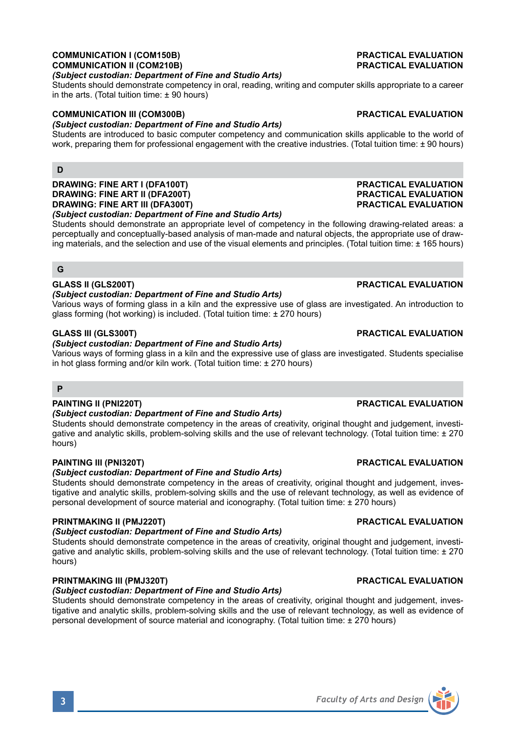### **COMMUNICATION I (COM150B) PRACTICAL EVALUATION COMMUNICATION II (COM210B)**

### *(Subject custodian: Department of Fine and Studio Arts)*

Students should demonstrate competency in oral, reading, writing and computer skills appropriate to a career in the arts. (Total tuition time: ± 90 hours)

### **COMMUNICATION III (COM300B) PRACTICAL EVALUATION**

### *(Subject custodian: Department of Fine and Studio Arts)*

Students are introduced to basic computer competency and communication skills applicable to the world of work, preparing them for professional engagement with the creative industries. (Total tuition time: ± 90 hours)

# **D**

**DRAWING: FINE ART I (DFA100T) PRACTICAL EVALUATION DRAWING: FINE ART II (DFA200T) PRACTICAL EVALUATION DRAWING: FINE ART III (DFA300T)** 

*(Subject custodian: Department of Fine and Studio Arts)*

Students should demonstrate an appropriate level of competency in the following drawing-related areas: a perceptually and conceptually-based analysis of man-made and natural objects, the appropriate use of drawing materials, and the selection and use of the visual elements and principles. (Total tuition time: ± 165 hours)

#### **G**

### **GLASS II (GLS200T) PRACTICAL EVALUATION**

#### *(Subject custodian: Department of Fine and Studio Arts)*

Various ways of forming glass in a kiln and the expressive use of glass are investigated. An introduction to glass forming (hot working) is included. (Total tuition time: ± 270 hours)

#### **GLASS III (GLS300T) PRACTICAL EVALUATION**

#### *(Subject custodian: Department of Fine and Studio Arts)*

Various ways of forming glass in a kiln and the expressive use of glass are investigated. Students specialise in hot glass forming and/or kiln work. (Total tuition time: ± 270 hours)

#### **P**

#### **PAINTING II (PNI220T) PRACTICAL EVALUATION**

#### *(Subject custodian: Department of Fine and Studio Arts)*

Students should demonstrate competency in the areas of creativity, original thought and judgement, investigative and analytic skills, problem-solving skills and the use of relevant technology. (Total tuition time: ± 270 hours)

#### **PAINTING III (PNI320T) PRACTICAL EVALUATION**

#### *(Subject custodian: Department of Fine and Studio Arts)*

Students should demonstrate competency in the areas of creativity, original thought and judgement, investigative and analytic skills, problem-solving skills and the use of relevant technology, as well as evidence of personal development of source material and iconography. (Total tuition time: ± 270 hours)

#### **PRINTMAKING II (PMJ220T) PRACTICAL EVALUATION**

### *(Subject custodian: Department of Fine and Studio Arts)*

Students should demonstrate competence in the areas of creativity, original thought and judgement, investigative and analytic skills, problem-solving skills and the use of relevant technology. (Total tuition time: ± 270 hours)

#### **PRINTMAKING III (PMJ320T) PRACTICAL EVALUATION**

### *(Subject custodian: Department of Fine and Studio Arts)*

Students should demonstrate competency in the areas of creativity, original thought and judgement, investigative and analytic skills, problem-solving skills and the use of relevant technology, as well as evidence of personal development of source material and iconography. (Total tuition time: ± 270 hours)